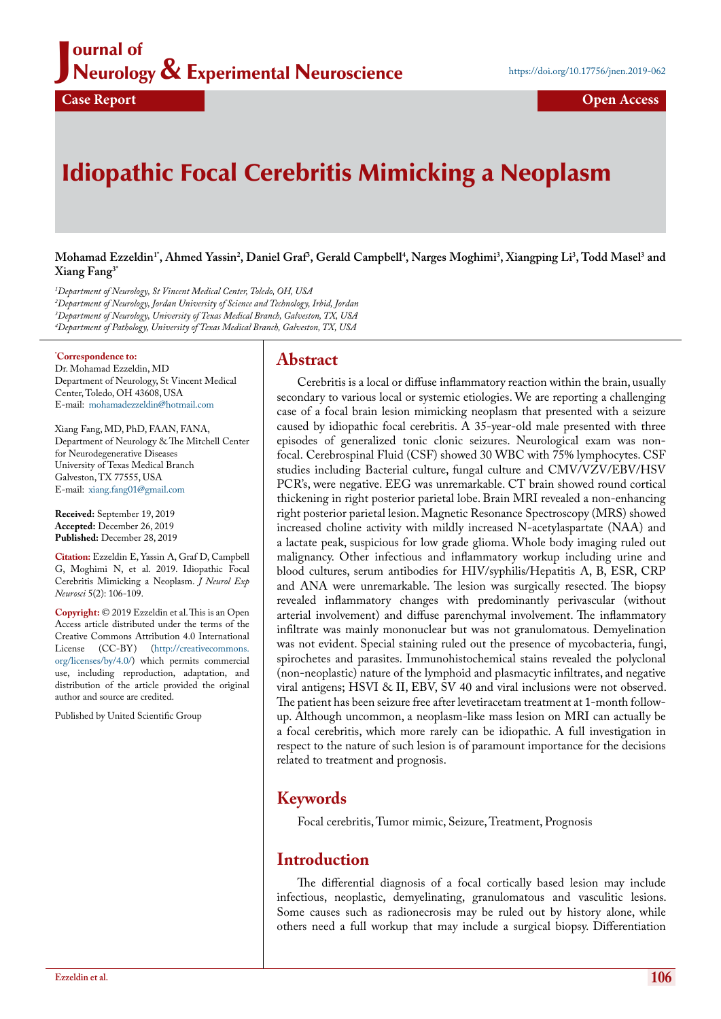# Idiopathic Focal Cerebritis Mimicking a Neoplasm

 $M$ ohamad Ezzeldin<sup>1</sup>', Ahmed Yassin<sup>2</sup>, Daniel Graf<sup>3</sup>, Gerald Campbell<sup>4</sup>, Narges Moghimi<sup>3</sup>, Xiangping Li<sup>3</sup>, Todd Masel<sup>3</sup> and **Xiang Fang3\***

 *Department of Neurology, St Vincent Medical Center, Toledo, OH, USA Department of Neurology, Jordan University of Science and Technology, Irbid, Jordan Department of Neurology, University of Texas Medical Branch, Galveston, TX, USA Department of Pathology, University of Texas Medical Branch, Galveston, TX, USA*

#### **\* Correspondence to:**

Dr. Mohamad Ezzeldin, MD Department of Neurology, St Vincent Medical Center, Toledo, OH 43608, USA E-mail: mohamadezzeldin@hotmail.com

Xiang Fang, MD, PhD, FAAN, FANA, Department of Neurology & The Mitchell Center for Neurodegenerative Diseases University of Texas Medical Branch Galveston, TX 77555, USA E-mail: [xiang.fang01@gmail.com](mailto:xiang.fang01@gmail.com)

**Received:** September 19, 2019 **Accepted:** December 26, 2019 **Published:** December 28, 2019

**Citation:** Ezzeldin E, Yassin A, Graf D, Campbell G, Moghimi N, et al. 2019. Idiopathic Focal Cerebritis Mimicking a Neoplasm. *J Neurol Exp Neurosci* 5(2): 106-109.

**Copyright:** © 2019 Ezzeldin et al. This is an Open Access article distributed under the terms of the Creative Commons Attribution 4.0 International License (CC-BY) [\(http://creativecommons.](http://creativecommons.org/licenses/by/4.0/) [org/licenses/by/4.0/\)](http://creativecommons.org/licenses/by/4.0/) which permits commercial use, including reproduction, adaptation, and distribution of the article provided the original author and source are credited.

Published by United Scientific Group

# **Abstract**

Cerebritis is a local or diffuse inflammatory reaction within the brain, usually secondary to various local or systemic etiologies. We are reporting a challenging case of a focal brain lesion mimicking neoplasm that presented with a seizure caused by idiopathic focal cerebritis. A 35-year-old male presented with three episodes of generalized tonic clonic seizures. Neurological exam was nonfocal. Cerebrospinal Fluid (CSF) showed 30 WBC with 75% lymphocytes. CSF studies including Bacterial culture, fungal culture and CMV/VZV/EBV/HSV PCR's, were negative. EEG was unremarkable. CT brain showed round cortical thickening in right posterior parietal lobe. Brain MRI revealed a non-enhancing right posterior parietal lesion. Magnetic Resonance Spectroscopy (MRS) showed increased choline activity with mildly increased N-acetylaspartate (NAA) and a lactate peak, suspicious for low grade glioma. Whole body imaging ruled out malignancy. Other infectious and inflammatory workup including urine and blood cultures, serum antibodies for HIV/syphilis/Hepatitis A, B, ESR, CRP and ANA were unremarkable. The lesion was surgically resected. The biopsy revealed inflammatory changes with predominantly perivascular (without arterial involvement) and diffuse parenchymal involvement. The inflammatory infiltrate was mainly mononuclear but was not granulomatous. Demyelination was not evident. Special staining ruled out the presence of mycobacteria, fungi, spirochetes and parasites. Immunohistochemical stains revealed the polyclonal (non-neoplastic) nature of the lymphoid and plasmacytic infiltrates, and negative viral antigens; HSVI & II, EBV, SV 40 and viral inclusions were not observed. The patient has been seizure free after levetiracetam treatment at 1-month followup. Although uncommon, a neoplasm-like mass lesion on MRI can actually be a focal cerebritis, which more rarely can be idiopathic. A full investigation in respect to the nature of such lesion is of paramount importance for the decisions related to treatment and prognosis.

#### **Keywords**

Focal cerebritis, Tumor mimic, Seizure, Treatment, Prognosis

#### **Introduction**

The differential diagnosis of a focal cortically based lesion may include infectious, neoplastic, demyelinating, granulomatous and vasculitic lesions. Some causes such as radionecrosis may be ruled out by history alone, while others need a full workup that may include a surgical biopsy. Differentiation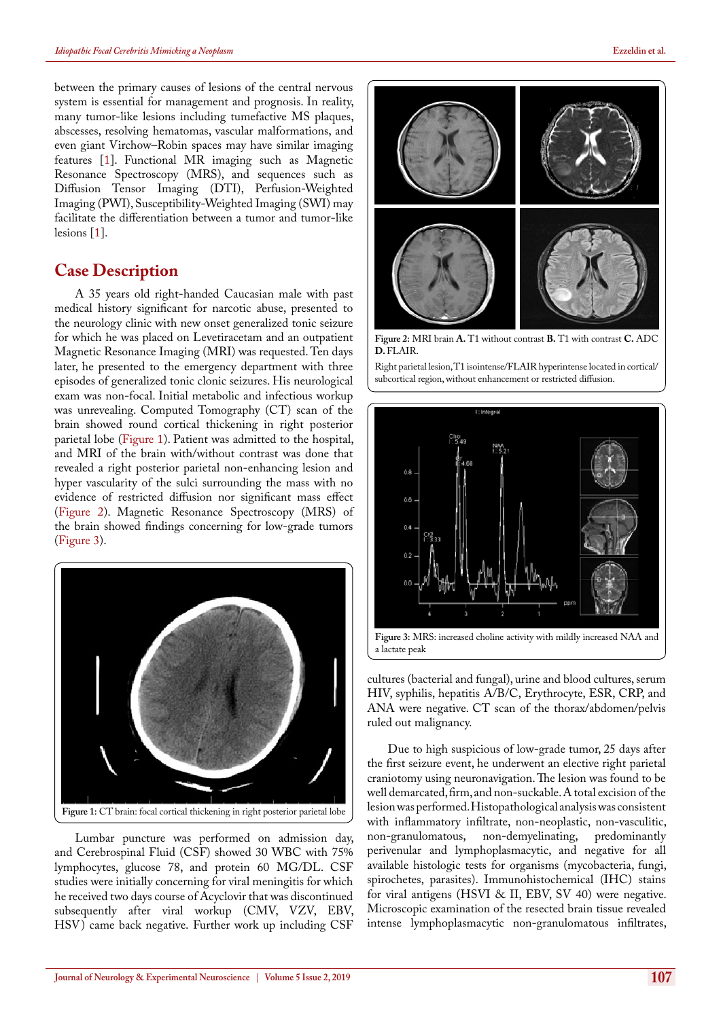between the primary causes of lesions of the central nervous system is essential for management and prognosis. In reality, many tumor-like lesions including tumefactive MS plaques, abscesses, resolving hematomas, vascular malformations, and even giant Virchow–Robin spaces may have similar imaging features [[1\]](#page-3-0). Functional MR imaging such as Magnetic Resonance Spectroscopy (MRS), and sequences such as Diffusion Tensor Imaging (DTI), Perfusion-Weighted Imaging (PWI), Susceptibility-Weighted Imaging (SWI) may facilitate the differentiation between a tumor and tumor-like lesions [[1\]](#page-3-0).

# **Case Description**

A 35 years old right-handed Caucasian male with past medical history significant for narcotic abuse, presented to the neurology clinic with new onset generalized tonic seizure for which he was placed on Levetiracetam and an outpatient Magnetic Resonance Imaging (MRI) was requested. Ten days later, he presented to the emergency department with three episodes of generalized tonic clonic seizures. His neurological exam was non-focal. Initial metabolic and infectious workup was unrevealing. Computed Tomography (CT) scan of the brain showed round cortical thickening in right posterior parietal lobe ([Figure 1](#page-1-0)). Patient was admitted to the hospital, and MRI of the brain with/without contrast was done that revealed a right posterior parietal non-enhancing lesion and hyper vascularity of the sulci surrounding the mass with no evidence of restricted diffusion nor significant mass effect [\(Figure 2\)](#page-1-1). Magnetic Resonance Spectroscopy (MRS) of the brain showed findings concerning for low-grade tumors [\(Figure 3](#page-1-2)).



<span id="page-1-0"></span>Lumbar puncture was performed on admission day, and Cerebrospinal Fluid (CSF) showed 30 WBC with 75% lymphocytes, glucose 78, and protein 60 MG/DL. CSF studies were initially concerning for viral meningitis for which he received two days course of Acyclovir that was discontinued subsequently after viral workup (CMV, VZV, EBV, HSV) came back negative. Further work up including CSF



<span id="page-1-1"></span>**Figure 2:** MRI brain **A.** T1 without contrast **B.** T1 with contrast **C.** ADC **D.** FLAIR.

Right parietal lesion, T1 isointense/FLAIR hyperintense located in cortical/ subcortical region, without enhancement or restricted diffusion.



<span id="page-1-2"></span>cultures (bacterial and fungal), urine and blood cultures, serum HIV, syphilis, hepatitis A/B/C, Erythrocyte, ESR, CRP, and ANA were negative. CT scan of the thorax/abdomen/pelvis ruled out malignancy.

Due to high suspicious of low-grade tumor, 25 days after the first seizure event, he underwent an elective right parietal craniotomy using neuronavigation. The lesion was found to be well demarcated, firm, and non-suckable. A total excision of the lesion was performed. Histopathological analysis was consistent with inflammatory infiltrate, non-neoplastic, non-vasculitic, non-granulomatous, non-demyelinating, predominantly non-demyelinating, predominantly perivenular and lymphoplasmacytic, and negative for all available histologic tests for organisms (mycobacteria, fungi, spirochetes, parasites). Immunohistochemical (IHC) stains for viral antigens (HSVI & II, EBV, SV 40) were negative. Microscopic examination of the resected brain tissue revealed intense lymphoplasmacytic non-granulomatous infiltrates,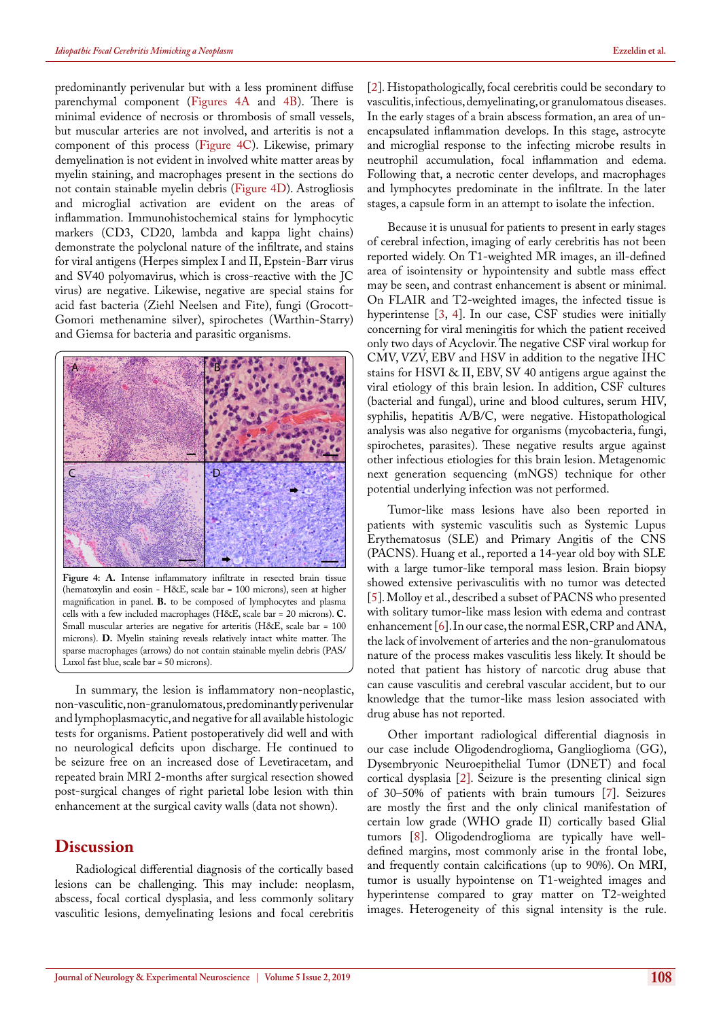predominantly perivenular but with a less prominent diffuse parenchymal component ([Figures 4A](#page-2-0) and [4B\)](#page-2-0). There is minimal evidence of necrosis or thrombosis of small vessels, but muscular arteries are not involved, and arteritis is not a component of this process [\(Figure 4C\)](#page-2-0). Likewise, primary demyelination is not evident in involved white matter areas by myelin staining, and macrophages present in the sections do not contain stainable myelin debris ([Figure 4D](#page-2-0)). Astrogliosis and microglial activation are evident on the areas of inflammation. Immunohistochemical stains for lymphocytic markers (CD3, CD20, lambda and kappa light chains) demonstrate the polyclonal nature of the infiltrate, and stains for viral antigens (Herpes simplex I and II, Epstein-Barr virus and SV40 polyomavirus, which is cross-reactive with the JC virus) are negative. Likewise, negative are special stains for acid fast bacteria (Ziehl Neelsen and Fite), fungi (Grocott-Gomori methenamine silver), spirochetes (Warthin-Starry) and Giemsa for bacteria and parasitic organisms.



<span id="page-2-0"></span>**Figure 4: A.** Intense inflammatory infiltrate in resected brain tissue (hematoxylin and eosin - H&E, scale bar = 100 microns), seen at higher magnification in panel. **B.** to be composed of lymphocytes and plasma cells with a few included macrophages (H&E, scale bar = 20 microns). **C.**  Small muscular arteries are negative for arteritis (H&E, scale bar = 100 microns). **D.** Myelin staining reveals relatively intact white matter. The sparse macrophages (arrows) do not contain stainable myelin debris (PAS/ Luxol fast blue, scale bar = 50 microns).

In summary, the lesion is inflammatory non-neoplastic, non-vasculitic, non-granulomatous, predominantly perivenular and lymphoplasmacytic, and negative for all available histologic tests for organisms. Patient postoperatively did well and with no neurological deficits upon discharge. He continued to be seizure free on an increased dose of Levetiracetam, and repeated brain MRI 2-months after surgical resection showed post-surgical changes of right parietal lobe lesion with thin enhancement at the surgical cavity walls (data not shown).

#### **Discussion**

Radiological differential diagnosis of the cortically based lesions can be challenging. This may include: neoplasm, abscess, focal cortical dysplasia, and less commonly solitary vasculitic lesions, demyelinating lesions and focal cerebritis

[[2\]](#page-3-1). Histopathologically, focal cerebritis could be secondary to vasculitis, infectious, demyelinating, or granulomatous diseases. In the early stages of a brain abscess formation, an area of unencapsulated inflammation develops. In this stage, astrocyte and microglial response to the infecting microbe results in neutrophil accumulation, focal inflammation and edema. Following that, a necrotic center develops, and macrophages and lymphocytes predominate in the infiltrate. In the later stages, a capsule form in an attempt to isolate the infection.

Because it is unusual for patients to present in early stages of cerebral infection, imaging of early cerebritis has not been reported widely. On T1-weighted MR images, an ill-defined area of isointensity or hypointensity and subtle mass effect may be seen, and contrast enhancement is absent or minimal. On FLAIR and T2-weighted images, the infected tissue is hyperintense [\[3](#page-3-2), [4](#page-3-3)]. In our case, CSF studies were initially concerning for viral meningitis for which the patient received only two days of Acyclovir. The negative CSF viral workup for CMV, VZV, EBV and HSV in addition to the negative IHC stains for HSVI & II, EBV, SV 40 antigens argue against the viral etiology of this brain lesion. In addition, CSF cultures (bacterial and fungal), urine and blood cultures, serum HIV, syphilis, hepatitis A/B/C, were negative. Histopathological analysis was also negative for organisms (mycobacteria, fungi, spirochetes, parasites). These negative results argue against other infectious etiologies for this brain lesion. Metagenomic next generation sequencing (mNGS) technique for other potential underlying infection was not performed.

Tumor-like mass lesions have also been reported in patients with systemic vasculitis such as Systemic Lupus Erythematosus (SLE) and Primary Angitis of the CNS (PACNS). Huang et al., reported a 14-year old boy with SLE with a large tumor-like temporal mass lesion. Brain biopsy showed extensive perivasculitis with no tumor was detected [[5\]](#page-3-4). Molloy et al., described a subset of PACNS who presented with solitary tumor-like mass lesion with edema and contrast enhancement [\[6](#page-3-5)]. In our case, the normal ESR, CRP and ANA, the lack of involvement of arteries and the non-granulomatous nature of the process makes vasculitis less likely. It should be noted that patient has history of narcotic drug abuse that can cause vasculitis and cerebral vascular accident, but to our knowledge that the tumor-like mass lesion associated with drug abuse has not reported.

Other important radiological differential diagnosis in our case include Oligodendroglioma, Ganglioglioma (GG), Dysembryonic Neuroepithelial Tumor (DNET) and focal cortical dysplasia [\[2\].](#page-3-1) Seizure is the presenting clinical sign of 30–50% of patients with brain tumours [[7\]](#page-3-6). Seizures are mostly the first and the only clinical manifestation of certain low grade (WHO grade II) cortically based Glial tumors [[8\]](#page-3-7). Oligodendroglioma are typically have welldefined margins, most commonly arise in the frontal lobe, and frequently contain calcifications (up to 90%). On MRI, tumor is usually hypointense on T1-weighted images and hyperintense compared to gray matter on T2-weighted images. Heterogeneity of this signal intensity is the rule.